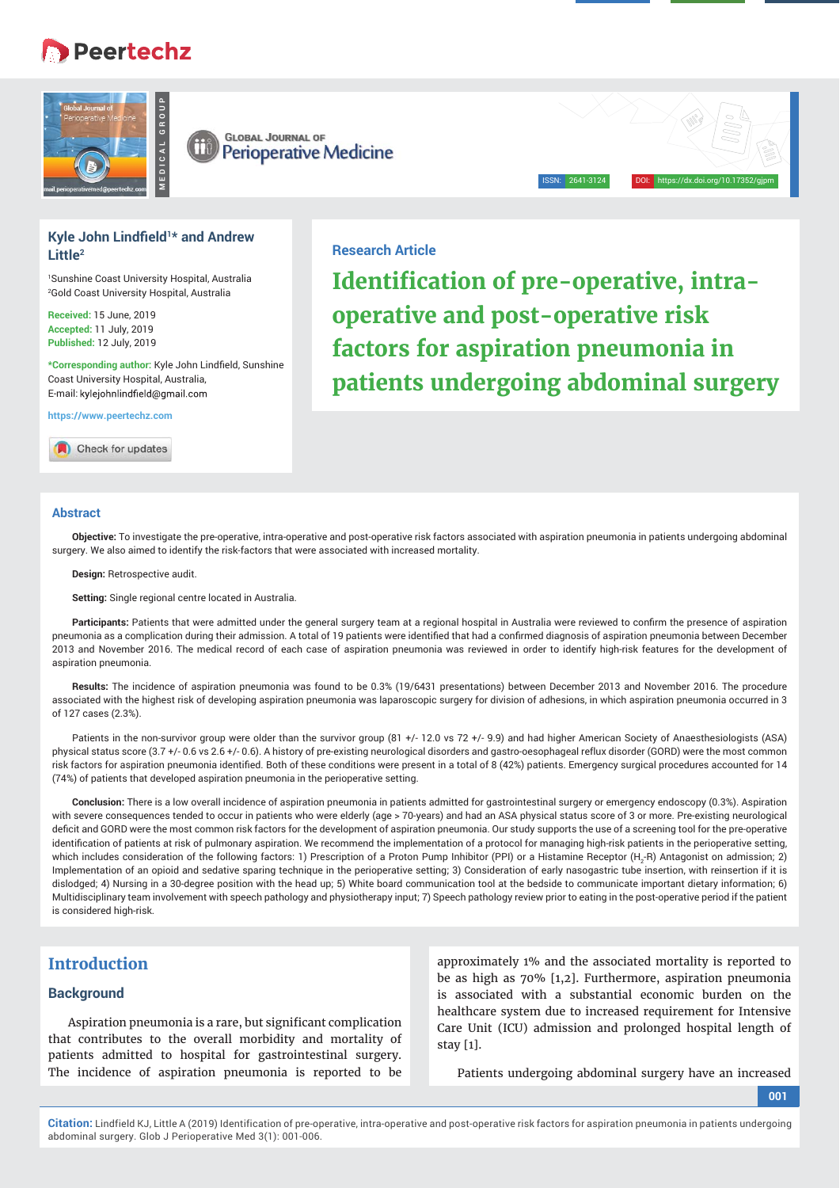# **Peertechz**





## **Kyle John Lindfield<sup>1\*</sup> and Andrew Little2**

1 Sunshine Coast University Hospital, Australia 2 Gold Coast University Hospital, Australia

**Received:** 15 June, 2019 **Accepted:** 11 July, 2019 **Published:** 12 July, 2019

\*Corresponding author: Kyle John Lindfield, Sunshine Coast University Hospital, Australia, E-mail: kylejohnlindfield@gmail.com

**https://www.peertechz.com**

Check for updates

## **Research Article**

**Identification of pre-operative, intraoperative and post-operative risk factors for aspiration pneumonia in patients undergoing abdominal surgery**

ISSN: 2641-3124 DOI: https://dx.doi.org/10.17352/gjpm

#### **Abstract**

**Objective:** To investigate the pre-operative, intra-operative and post-operative risk factors associated with aspiration pneumonia in patients undergoing abdominal surgery. We also aimed to identify the risk-factors that were associated with increased mortality.

**Design:** Retrospective audit.

**Setting:** Single regional centre located in Australia.

Participants: Patients that were admitted under the general surgery team at a regional hospital in Australia were reviewed to confirm the presence of aspiration pneumonia as a complication during their admission. A total of 19 patients were identified that had a confirmed diagnosis of aspiration pneumonia between December 2013 and November 2016. The medical record of each case of aspiration pneumonia was reviewed in order to identify high-risk features for the development of aspiration pneumonia.

**Results:** The incidence of aspiration pneumonia was found to be 0.3% (19/6431 presentations) between December 2013 and November 2016. The procedure associated with the highest risk of developing aspiration pneumonia was laparoscopic surgery for division of adhesions, in which aspiration pneumonia occurred in 3 of 127 cases (2.3%).

Patients in the non-survivor group were older than the survivor group (81 +/- 12.0 vs 72 +/- 9.9) and had higher American Society of Anaesthesiologists (ASA) physical status score (3.7 +/- 0.6 vs 2.6 +/- 0.6). A history of pre-existing neurological disorders and gastro-oesophageal reflux disorder (GORD) were the most common risk factors for aspiration pneumonia identified. Both of these conditions were present in a total of 8 (42%) patients. Emergency surgical procedures accounted for 14 (74%) of patients that developed aspiration pneumonia in the perioperative setting.

**Conclusion:** There is a low overall incidence of aspiration pneumonia in patients admitted for gastrointestinal surgery or emergency endoscopy (0.3%). Aspiration with severe consequences tended to occur in patients who were elderly (age > 70-years) and had an ASA physical status score of 3 or more. Pre-existing neurological deficit and GORD were the most common risk factors for the development of aspiration pneumonia. Our study supports the use of a screening tool for the pre-operative identification of patients at risk of pulmonary aspiration. We recommend the implementation of a protocol for managing high-risk patients in the perioperative setting, which includes consideration of the following factors: 1) Prescription of a Proton Pump Inhibitor (PPI) or a Histamine Receptor (H<sub>2</sub>-R) Antagonist on admission; 2) Implementation of an opioid and sedative sparing technique in the perioperative setting; 3) Consideration of early nasogastric tube insertion, with reinsertion if it is dislodged; 4) Nursing in a 30-degree position with the head up; 5) White board communication tool at the bedside to communicate important dietary information; 6) Multidisciplinary team involvement with speech pathology and physiotherapy input; 7) Speech pathology review prior to eating in the post-operative period if the patient is considered high-risk

# **Introduction**

## **Background**

Aspiration pneumonia is a rare, but significant complication that contributes to the overall morbidity and mortality of patients admitted to hospital for gastrointestinal surgery. The incidence of aspiration pneumonia is reported to be

approximately 1% and the associated mortality is reported to be as high as 70% [1,2]. Furthermore, aspiration pneumonia is associated with a substantial economic burden on the healthcare system due to increased requirement for Intensive Care Unit (ICU) admission and prolonged hospital length of stay [1].

Patients undergoing abdominal surgery have an increased

**001**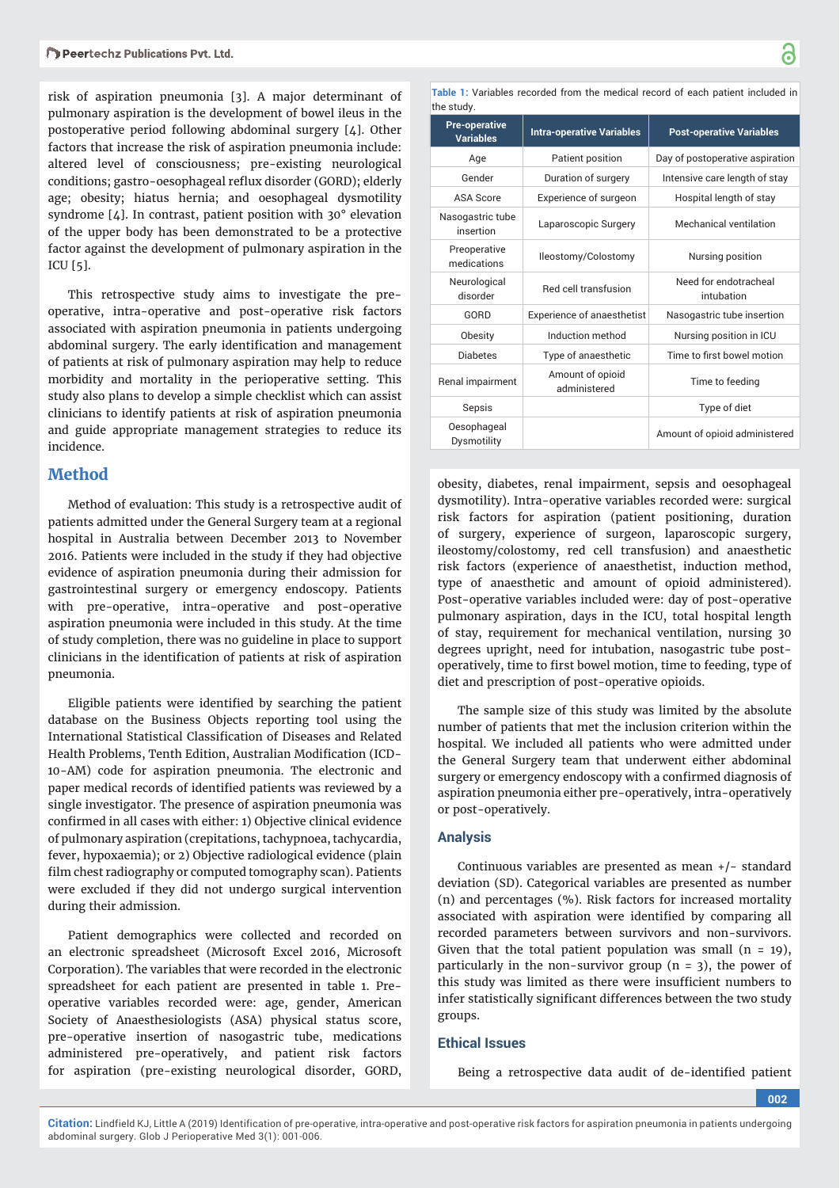risk of aspiration pneumonia [3]. A major determinant of pulmonary aspiration is the development of bowel ileus in the postoperative period following abdominal surgery [4]. Other factors that increase the risk of aspiration pneumonia include: altered level of consciousness; pre-existing neurological conditions; gastro-oesophageal reflux disorder (GORD); elderly age; obesity; hiatus hernia; and oesophageal dysmotility syndrome [4]. In contrast, patient position with 30° elevation of the upper body has been demonstrated to be a protective factor against the development of pulmonary aspiration in the ICU [5].

This retrospective study aims to investigate the preoperative, intra-operative and post-operative risk factors associated with aspiration pneumonia in patients undergoing abdominal surgery. The early identification and management of patients at risk of pulmonary aspiration may help to reduce morbidity and mortality in the perioperative setting. This study also plans to develop a simple checklist which can assist clinicians to identify patients at risk of aspiration pneumonia and guide appropriate management strategies to reduce its incidence.

## **Method**

Method of evaluation: This study is a retrospective audit of patients admitted under the General Surgery team at a regional hospital in Australia between December 2013 to November 2016. Patients were included in the study if they had objective evidence of aspiration pneumonia during their admission for gastrointestinal surgery or emergency endoscopy. Patients with pre-operative, intra-operative and post-operative aspiration pneumonia were included in this study. At the time of study completion, there was no guideline in place to support clinicians in the identification of patients at risk of aspiration pneumonia.

Eligible patients were identified by searching the patient database on the Business Objects reporting tool using the International Statistical Classification of Diseases and Related Health Problems, Tenth Edition, Australian Modification (ICD-10-AM) code for aspiration pneumonia. The electronic and paper medical records of identified patients was reviewed by a single investigator. The presence of aspiration pneumonia was confirmed in all cases with either: 1) Objective clinical evidence of pulmonary aspiration (crepitations, tachypnoea, tachycardia, fever, hypoxaemia); or 2) Objective radiological evidence (plain film chest radiography or computed tomography scan). Patients were excluded if they did not undergo surgical intervention during their admission.

Patient demographics were collected and recorded on an electronic spreadsheet (Microsoft Excel 2016, Microsoft Corporation). The variables that were recorded in the electronic spreadsheet for each patient are presented in table 1. Preoperative variables recorded were: age, gender, American Society of Anaesthesiologists (ASA) physical status score, pre-operative insertion of nasogastric tube, medications administered pre-operatively, and patient risk factors for aspiration (pre-existing neurological disorder, GORD,

**Table 1:** Variables recorded from the medical record of each patient included in the study.

| u ic otaay.                              |                                   |                                     |  |
|------------------------------------------|-----------------------------------|-------------------------------------|--|
| <b>Pre-operative</b><br><b>Variables</b> | <b>Intra-operative Variables</b>  | <b>Post-operative Variables</b>     |  |
| Age                                      | Patient position                  | Day of postoperative aspiration     |  |
| Gender                                   | Duration of surgery               | Intensive care length of stay       |  |
| <b>ASA Score</b>                         | Experience of surgeon             | Hospital length of stay             |  |
| Nasogastric tube<br>insertion            | Laparoscopic Surgery              | Mechanical ventilation              |  |
| Preoperative<br>medications              | Ileostomy/Colostomy               | Nursing position                    |  |
| Neurological<br>disorder                 | Red cell transfusion              | Need for endotracheal<br>intubation |  |
| GORD                                     | <b>Experience of anaesthetist</b> | Nasogastric tube insertion          |  |
| Obesity                                  | Induction method                  | Nursing position in ICU             |  |
| <b>Diabetes</b>                          | Type of anaesthetic               | Time to first bowel motion          |  |
| Renal impairment                         | Amount of opioid<br>administered  | Time to feeding                     |  |
| Sepsis                                   |                                   | Type of diet                        |  |
| Oesophageal<br>Dysmotility               |                                   | Amount of opioid administered       |  |

obesity, diabetes, renal impairment, sepsis and oesophageal dysmotility). Intra-operative variables recorded were: surgical risk factors for aspiration (patient positioning, duration of surgery, experience of surgeon, laparoscopic surgery, ileostomy/colostomy, red cell transfusion) and anaesthetic risk factors (experience of anaesthetist, induction method, type of anaesthetic and amount of opioid administered). Post-operative variables included were: day of post-operative pulmonary aspiration, days in the ICU, total hospital length of stay, requirement for mechanical ventilation, nursing 30 degrees upright, need for intubation, nasogastric tube postoperatively, time to first bowel motion, time to feeding, type of diet and prescription of post-operative opioids.

The sample size of this study was limited by the absolute number of patients that met the inclusion criterion within the hospital. We included all patients who were admitted under the General Surgery team that underwent either abdominal surgery or emergency endoscopy with a confirmed diagnosis of aspiration pneumonia either pre-operatively, intra-operatively or post-operatively.

## **Analysis**

Continuous variables are presented as mean +/- standard deviation (SD). Categorical variables are presented as number (n) and percentages (%). Risk factors for increased mortality associated with aspiration were identified by comparing all recorded parameters between survivors and non-survivors. Given that the total patient population was small  $(n = 19)$ , particularly in the non-survivor group  $(n = 3)$ , the power of this study was limited as there were insufficient numbers to infer statistically significant differences between the two study groups.

#### **Ethical Issues**

Being a retrospective data audit of de-identified patient

**002**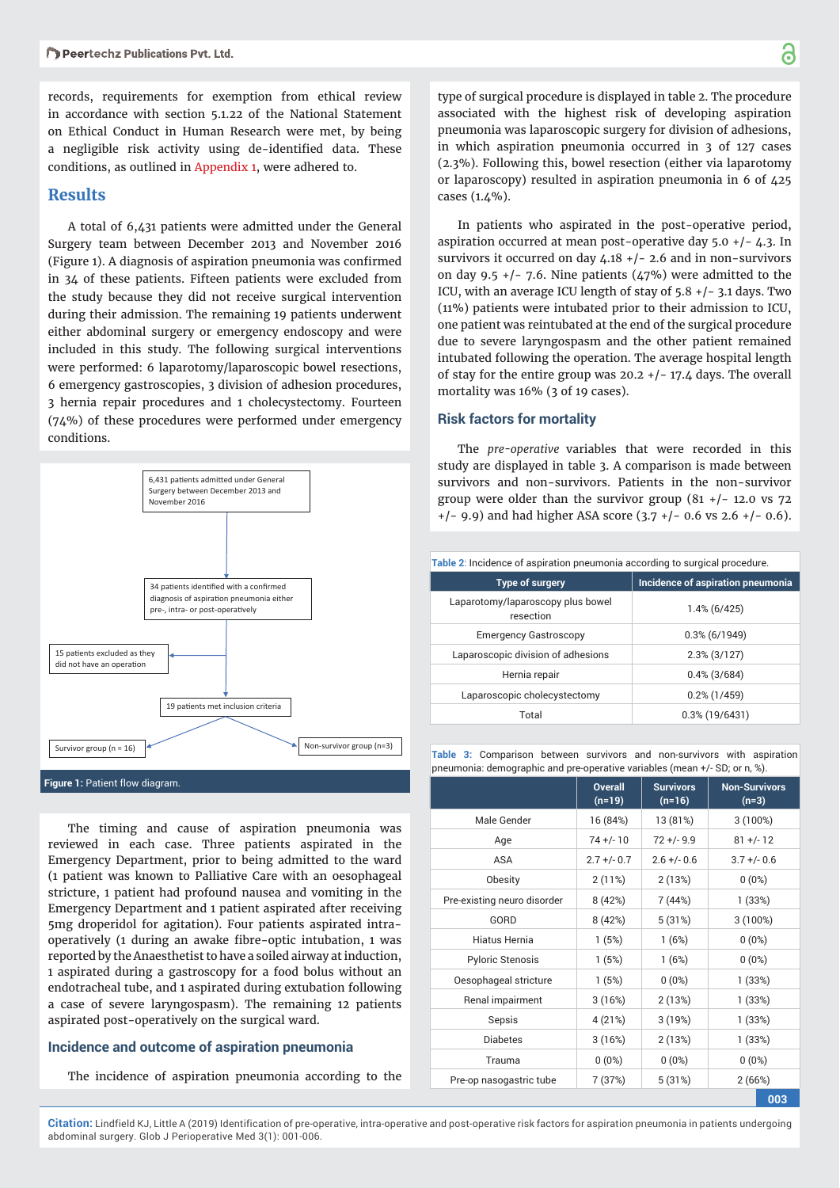records, requirements for exemption from ethical review in accordance with section 5.1.22 of the National Statement on Ethical Conduct in Human Research were met, by being a negligible risk activity using de-identified data. These conditions, as outlined in [Appendix](https://www.peertechz.com/uploads/art_addfiles_2287.rar) 1, were adhered to.

## **Results**

A total of 6,431 patients were admitted under the General Surgery team between December 2013 and November 2016 (Figure 1). A diagnosis of aspiration pneumonia was confirmed in 34 of these patients. Fifteen patients were excluded from the study because they did not receive surgical intervention during their admission. The remaining 19 patients underwent either abdominal surgery or emergency endoscopy and were included in this study. The following surgical interventions were performed: 6 laparotomy/laparoscopic bowel resections, 6 emergency gastroscopies, 3 division of adhesion procedures, 3 hernia repair procedures and 1 cholecystectomy. Fourteen (74%) of these procedures were performed under emergency conditions.



The timing and cause of aspiration pneumonia was reviewed in each case. Three patients aspirated in the Emergency Department, prior to being admitted to the ward (1 patient was known to Palliative Care with an oesophageal stricture, 1 patient had profound nausea and vomiting in the Emergency Department and 1 patient aspirated after receiving 5mg droperidol for agitation). Four patients aspirated intraoperatively (1 during an awake fibre-optic intubation, 1 was reported by the Anaesthetist to have a soiled airway at induction, 1 aspirated during a gastroscopy for a food bolus without an endotracheal tube, and 1 aspirated during extubation following a case of severe laryngospasm). The remaining 12 patients aspirated post-operatively on the surgical ward.

#### **Incidence and outcome of aspiration pneumonia**

The incidence of aspiration pneumonia according to the

type of surgical procedure is displayed in table 2. The procedure associated with the highest risk of developing aspiration pneumonia was laparoscopic surgery for division of adhesions, in which aspiration pneumonia occurred in 3 of 127 cases (2.3%). Following this, bowel resection (either via laparotomy or laparoscopy) resulted in aspiration pneumonia in 6 of 425 cases (1.4%).

In patients who aspirated in the post-operative period, aspiration occurred at mean post-operative day  $5.0 + (-4.3.$  In survivors it occurred on day  $4.18 + (-2.6)$  and in non-survivors on day 9.5  $+/-$  7.6. Nine patients (47%) were admitted to the ICU, with an average ICU length of stay of 5.8 +/- 3.1 days. Two (11%) patients were intubated prior to their admission to ICU, one patient was reintubated at the end of the surgical procedure due to severe laryngospasm and the other patient remained intubated following the operation. The average hospital length of stay for the entire group was  $20.2 + (-17.4)$  days. The overall mortality was 16% (3 of 19 cases).

#### **Risk factors for mortality**

The *pre-operative* variables that were recorded in this study are displayed in table 3. A comparison is made between survivors and non-survivors. Patients in the non-survivor group were older than the survivor group  $(81 + / - 12.0 \text{ vs } 72)$ +/- 9.9) and had higher ASA score (3.7 +/- 0.6 vs 2.6 +/- 0.6).

| Table 2: Incidence of aspiration pneumonia according to surgical procedure. |                                   |  |  |
|-----------------------------------------------------------------------------|-----------------------------------|--|--|
| <b>Type of surgery</b>                                                      | Incidence of aspiration pneumonia |  |  |
| Laparotomy/laparoscopy plus bowel<br>resection                              | $1.4\%$ (6/425)                   |  |  |
| <b>Emergency Gastroscopy</b>                                                | $0.3\%$ (6/1949)                  |  |  |
| Laparoscopic division of adhesions                                          | $2.3\%$ (3/127)                   |  |  |
| Hernia repair                                                               | $0.4\%$ (3/684)                   |  |  |
| Laparoscopic cholecystectomy                                                | $0.2\%$ (1/459)                   |  |  |
| Total                                                                       | $0.3\%$ (19/6431)                 |  |  |

**Table 3:** Comparison between survivors and non-survivors with aspiration pneumonia: demographic and pre-operative variables (mean +/- SD; or n, %).

| pricemonia. acmographio ana pre-operative vanabico (mean-17-05), or n, 10). |                            |                              |                                 |  |  |
|-----------------------------------------------------------------------------|----------------------------|------------------------------|---------------------------------|--|--|
|                                                                             | <b>Overall</b><br>$(n=19)$ | <b>Survivors</b><br>$(n=16)$ | <b>Non-Survivors</b><br>$(n=3)$ |  |  |
| Male Gender                                                                 | 16 (84%)                   | 13 (81%)                     | 3(100%)                         |  |  |
| Age                                                                         | $74 + (-10)$               | $72 + (-9.9)$                | $81 +/- 12$                     |  |  |
| <b>ASA</b>                                                                  | $2.7 +/- 0.7$              | $2.6 + - 0.6$                | $3.7 +/- 0.6$                   |  |  |
| Obesity                                                                     | 2(11%)                     | 2(13%)                       | $0(0\%)$                        |  |  |
| Pre-existing neuro disorder                                                 | 8 (42%)                    | 7 (44%)                      | 1(33%)                          |  |  |
| GORD                                                                        | 8(42%)                     | 5(31%)                       | 3(100%)                         |  |  |
| Hiatus Hernia                                                               | 1(5%)                      | 1(6%)                        | $0(0\%)$                        |  |  |
| <b>Pyloric Stenosis</b>                                                     | 1(5%)                      | 1(6%)                        | $0(0\%)$                        |  |  |
| Oesophageal stricture                                                       | 1(5%)                      | $0(0\%)$                     | 1(33%)                          |  |  |
| Renal impairment                                                            | 3(16%)                     | 2(13%)                       | 1(33%)                          |  |  |
| Sepsis                                                                      | 4 (21%)                    | 3(19%)                       | 1 (33%)                         |  |  |
| <b>Diabetes</b>                                                             | 3(16%)                     | 2(13%)                       | 1(33%)                          |  |  |
| Trauma                                                                      | $0(0\%)$                   | $0(0\%)$                     | $0(0\%)$                        |  |  |
| Pre-op nasogastric tube                                                     | 7 (37%)                    | 5(31%)                       | 2(66%)                          |  |  |

**003**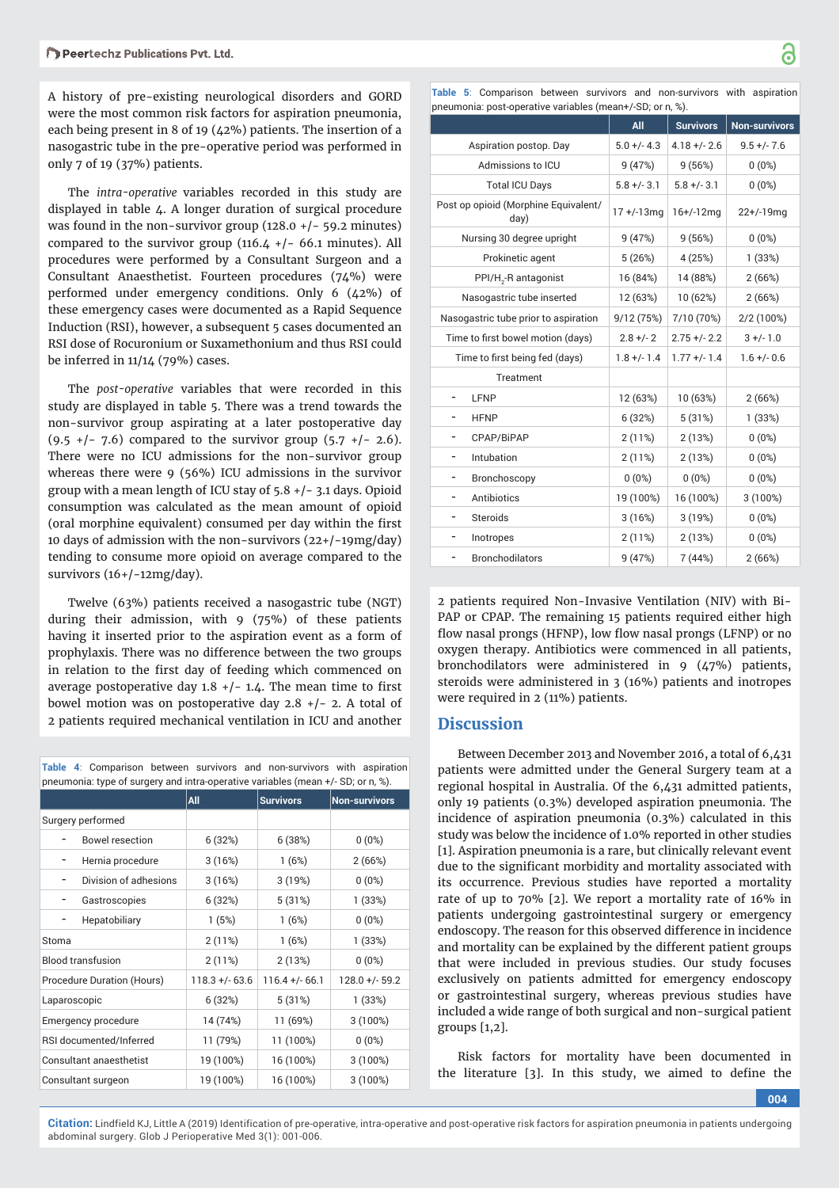A history of pre-existing neurological disorders and GORD were the most common risk factors for aspiration pneumonia, each being present in 8 of 19 (42%) patients. The insertion of a nasogastric tube in the pre-operative period was performed in only 7 of 19 (37%) patients.

The *intra-operative* variables recorded in this study are displayed in table 4. A longer duration of surgical procedure was found in the non-survivor group  $(128.0 + -59.2)$  minutes) compared to the survivor group (116.4  $+/-$  66.1 minutes). All procedures were performed by a Consultant Surgeon and a Consultant Anaesthetist. Fourteen procedures (74%) were performed under emergency conditions. Only 6 (42%) of these emergency cases were documented as a Rapid Sequence Induction (RSI), however, a subsequent 5 cases documented an RSI dose of Rocuronium or Suxamethonium and thus RSI could be inferred in 11/14 (79%) cases.

The *post-operative* variables that were recorded in this study are displayed in table 5. There was a trend towards the non-survivor group aspirating at a later postoperative day  $(9.5 +/- 7.6)$  compared to the survivor group  $(5.7 +/- 2.6)$ . There were no ICU admissions for the non-survivor group whereas there were 9 (56%) ICU admissions in the survivor group with a mean length of ICU stay of 5.8 +/- 3.1 days. Opioid consumption was calculated as the mean amount of opioid (oral morphine equivalent) consumed per day within the first 10 days of admission with the non-survivors (22+/-19mg/day) tending to consume more opioid on average compared to the survivors (16+/-12mg/day).

Twelve (63%) patients received a nasogastric tube (NGT) during their admission, with 9 (75%) of these patients having it inserted prior to the aspiration event as a form of prophylaxis. There was no difference between the two groups in relation to the first day of feeding which commenced on average postoperative day  $1.8 +/- 1.4$ . The mean time to first bowel motion was on postoperative day  $2.8 +/- 2$ . A total of 2 patients required mechanical ventilation in ICU and another

**Table 4**: Comparison between survivors and non-survivors with aspiration pneumonia: type of surgery and intra-operative variables (mean +/- SD; or n, %).

|                            | All               | <b>Survivors</b> | <b>Non-survivors</b> |
|----------------------------|-------------------|------------------|----------------------|
| Surgery performed          |                   |                  |                      |
| <b>Bowel resection</b>     | 6(32%)            | 6(38%)           | $0(0\%)$             |
| Hernia procedure           | 3(16%)            | 1(6%)            | 2(66%)               |
| Division of adhesions      | 3(16%)            | 3(19%)           | $0(0\%)$             |
| Gastroscopies              | 6(32%)            | 5(31%)           | 1(33%)               |
| Hepatobiliary              | 1(5%)             | 1(6%)            | $0(0\%)$             |
| Stoma                      | 2(11%)            | 1(6%)            | 1(33%)               |
| <b>Blood transfusion</b>   | 2(11%)            | 2(13%)           | $0(0\%)$             |
| Procedure Duration (Hours) | $118.3 + (-63.6)$ | $116.4 + (-66.1$ | $128.0 +/- 59.2$     |
| Laparoscopic               | 6(32%)            | 5(31%)           | 1(33%)               |
| Emergency procedure        | 14 (74%)          | 11 (69%)         | $3(100\%)$           |
| RSI documented/Inferred    | 11 (79%)          | 11 (100%)        | $0(0\%)$             |
| Consultant anaesthetist    | 19 (100%)         | 16 (100%)        | 3(100%)              |
| Consultant surgeon         | 19 (100%)         | 16 (100%)        | 3(100%)              |

**Table 5**: Comparison between survivors and non-survivors with aspiration pneumonia: post-operative variables (mean+/-SD; or n, %).

|                                              | All             | <b>Survivors</b> | <b>Non-survivors</b> |
|----------------------------------------------|-----------------|------------------|----------------------|
| Aspiration postop. Day                       | $5.0 +/- 4.3$   | $4.18 +/- 2.6$   | $9.5 +/- 7.6$        |
| Admissions to ICU                            | 9(47%)          | 9(56%)           | $0(0\%)$             |
| <b>Total ICU Days</b>                        | $5.8 +/- 3.1$   | $5.8 +/- 3.1$    | $0(0\%)$             |
| Post op opioid (Morphine Equivalent/<br>day) | $17 + (-13)$ mq | $16+/12mg$       | $22+/-19$ mg         |
| Nursing 30 degree upright                    | 9(47%)          | 9(56%)           | $0(0\%)$             |
| Prokinetic agent                             | 5(26%)          | 4(25%)           | 1(33%)               |
| PPI/H <sub>2</sub> -R antagonist             | 16 (84%)        | 14 (88%)         | 2(66%)               |
| Nasogastric tube inserted                    | 12 (63%)        | 10 (62%)         | 2(66%)               |
| Nasogastric tube prior to aspiration         | 9/12 (75%)      | 7/10 (70%)       | 2/2 (100%)           |
| Time to first bowel motion (days)            | $2.8 +/- 2$     | $2.75 + - 2.2$   | $3 +/- 1.0$          |
| Time to first being fed (days)               | $1.8 +/- 1.4$   | $1.77 +/- 1.4$   | $1.6 +/- 0.6$        |
| Treatment                                    |                 |                  |                      |
| LFNP                                         | 12 (63%)        | 10 (63%)         | 2(66%)               |
| <b>HFNP</b>                                  | 6(32%)          | 5(31%)           | 1(33%)               |
| CPAP/BiPAP                                   | 2(11%)          | 2(13%)           | $0(0\%)$             |
| Intubation<br>-                              | 2(11%)          | 2(13%)           | $0(0\%)$             |
| Bronchoscopy                                 | $0(0\%)$        | $0(0\%)$         | $0(0\%)$             |
| Antibiotics                                  | 19 (100%)       | 16 (100%)        | 3 (100%)             |
| <b>Steroids</b><br>-                         | 3(16%)          | 3(19%)           | $0(0\%)$             |
| Inotropes                                    | 2(11%)          | 2(13%)           | $0(0\%)$             |
| <b>Bronchodilators</b>                       | 9 (47%)         | 7 (44%)          | 2(66%)               |

2 patients required Non-Invasive Ventilation (NIV) with Bi-PAP or CPAP. The remaining 15 patients required either high flow nasal prongs (HFNP), low flow nasal prongs (LFNP) or no oxygen therapy. Antibiotics were commenced in all patients, bronchodilators were administered in 9 (47%) patients, steroids were administered in 3 (16%) patients and inotropes were required in 2 (11%) patients.

# **Discussion**

Between December 2013 and November 2016, a total of 6,431 patients were admitted under the General Surgery team at a regional hospital in Australia. Of the 6,431 admitted patients, only 19 patients (0.3%) developed aspiration pneumonia. The incidence of aspiration pneumonia (0.3%) calculated in this study was below the incidence of 1.0% reported in other studies [1]. Aspiration pneumonia is a rare, but clinically relevant event due to the significant morbidity and mortality associated with its occurrence. Previous studies have reported a mortality rate of up to 70% [2]. We report a mortality rate of 16% in patients undergoing gastrointestinal surgery or emergency endoscopy. The reason for this observed difference in incidence and mortality can be explained by the different patient groups that were included in previous studies. Our study focuses exclusively on patients admitted for emergency endoscopy or gastrointestinal surgery, whereas previous studies have included a wide range of both surgical and non-surgical patient groups [1,2].

Risk factors for mortality have been documented in the literature  $[3]$ . In this study, we aimed to define the

**004**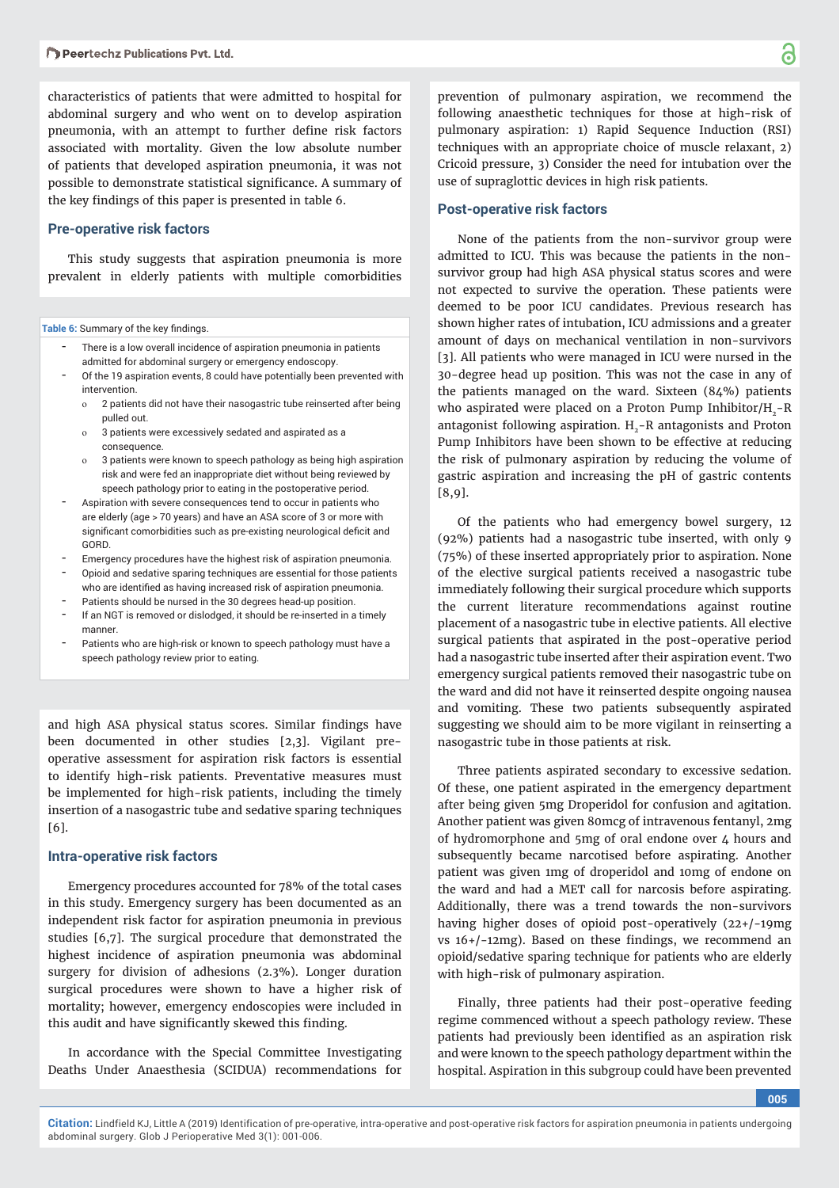characteristics of patients that were admitted to hospital for abdominal surgery and who went on to develop aspiration pneumonia, with an attempt to further define risk factors associated with mortality. Given the low absolute number of patients that developed aspiration pneumonia, it was not possible to demonstrate statistical significance. A summary of the key findings of this paper is presented in table 6.

#### **Pre-operative risk factors**

This study suggests that aspiration pneumonia is more prevalent in elderly patients with multiple comorbidities

Table 6: Summary of the key findings.

- There is a low overall incidence of aspiration pneumonia in patients admitted for abdominal surgery or emergency endoscopy.
- Of the 19 aspiration events, 8 could have potentially been prevented with intervention.
	- o 2 patients did not have their nasogastric tube reinserted after being pulled out.
	- o 3 patients were excessively sedated and aspirated as a consequence.
	- o 3 patients were known to speech pathology as being high aspiration risk and were fed an inappropriate diet without being reviewed by speech pathology prior to eating in the postoperative period.
- Aspiration with severe consequences tend to occur in patients who are elderly (age > 70 years) and have an ASA score of 3 or more with significant comorbidities such as pre-existing neurological deficit and GORD.
- Emergency procedures have the highest risk of aspiration pneumonia.
- Opioid and sedative sparing techniques are essential for those patients who are identified as having increased risk of aspiration pneumonia.
- Patients should be nursed in the 30 degrees head-up position.
- If an NGT is removed or dislodged, it should be re-inserted in a timely manner.
- Patients who are high-risk or known to speech pathology must have a speech pathology review prior to eating.

and high ASA physical status scores. Similar findings have been documented in other studies [2,3]. Vigilant preoperative assessment for aspiration risk factors is essential to identify high-risk patients. Preventative measures must be implemented for high-risk patients, including the timely insertion of a nasogastric tube and sedative sparing techniques [6].

#### **Intra-operative risk factors**

Emergency procedures accounted for 78% of the total cases in this study. Emergency surgery has been documented as an independent risk factor for aspiration pneumonia in previous studies [6,7]. The surgical procedure that demonstrated the highest incidence of aspiration pneumonia was abdominal surgery for division of adhesions (2.3%). Longer duration surgical procedures were shown to have a higher risk of mortality; however, emergency endoscopies were included in this audit and have significantly skewed this finding.

In accordance with the Special Committee Investigating Deaths Under Anaesthesia (SCIDUA) recommendations for

prevention of pulmonary aspiration, we recommend the following anaesthetic techniques for those at high-risk of pulmonary aspiration: 1) Rapid Sequence Induction (RSI) techniques with an appropriate choice of muscle relaxant, 2) Cricoid pressure, 3) Consider the need for intubation over the use of supraglottic devices in high risk patients.

#### **Post-operative risk factors**

None of the patients from the non-survivor group were admitted to ICU. This was because the patients in the nonsurvivor group had high ASA physical status scores and were not expected to survive the operation. These patients were deemed to be poor ICU candidates. Previous research has shown higher rates of intubation, ICU admissions and a greater amount of days on mechanical ventilation in non-survivors [3]. All patients who were managed in ICU were nursed in the 30-degree head up position. This was not the case in any of the patients managed on the ward. Sixteen (84%) patients who aspirated were placed on a Proton Pump Inhibitor/ $H<sub>2</sub> - R$ antagonist following aspiration.  $H<sub>2</sub> - R$  antagonists and Proton Pump Inhibitors have been shown to be effective at reducing the risk of pulmonary aspiration by reducing the volume of gastric aspiration and increasing the pH of gastric contents [8,9].

Of the patients who had emergency bowel surgery, 12 (92%) patients had a nasogastric tube inserted, with only 9 (75%) of these inserted appropriately prior to aspiration. None of the elective surgical patients received a nasogastric tube immediately following their surgical procedure which supports the current literature recommendations against routine placement of a nasogastric tube in elective patients. All elective surgical patients that aspirated in the post-operative period had a nasogastric tube inserted after their aspiration event. Two emergency surgical patients removed their nasogastric tube on the ward and did not have it reinserted despite ongoing nausea and vomiting. These two patients subsequently aspirated suggesting we should aim to be more vigilant in reinserting a nasogastric tube in those patients at risk.

Three patients aspirated secondary to excessive sedation. Of these, one patient aspirated in the emergency department after being given 5mg Droperidol for confusion and agitation. Another patient was given 80mcg of intravenous fentanyl, 2mg of hydromorphone and 5mg of oral endone over 4 hours and subsequently became narcotised before aspirating. Another patient was given 1mg of droperidol and 10mg of endone on the ward and had a MET call for narcosis before aspirating. Additionally, there was a trend towards the non-survivors having higher doses of opioid post-operatively (22+/-19mg vs  $16+/-12$ mg). Based on these findings, we recommend an opioid/sedative sparing technique for patients who are elderly with high-risk of pulmonary aspiration.

Finally, three patients had their post-operative feeding regime commenced without a speech pathology review. These patients had previously been identified as an aspiration risk and were known to the speech pathology department within the hospital. Aspiration in this subgroup could have been prevented